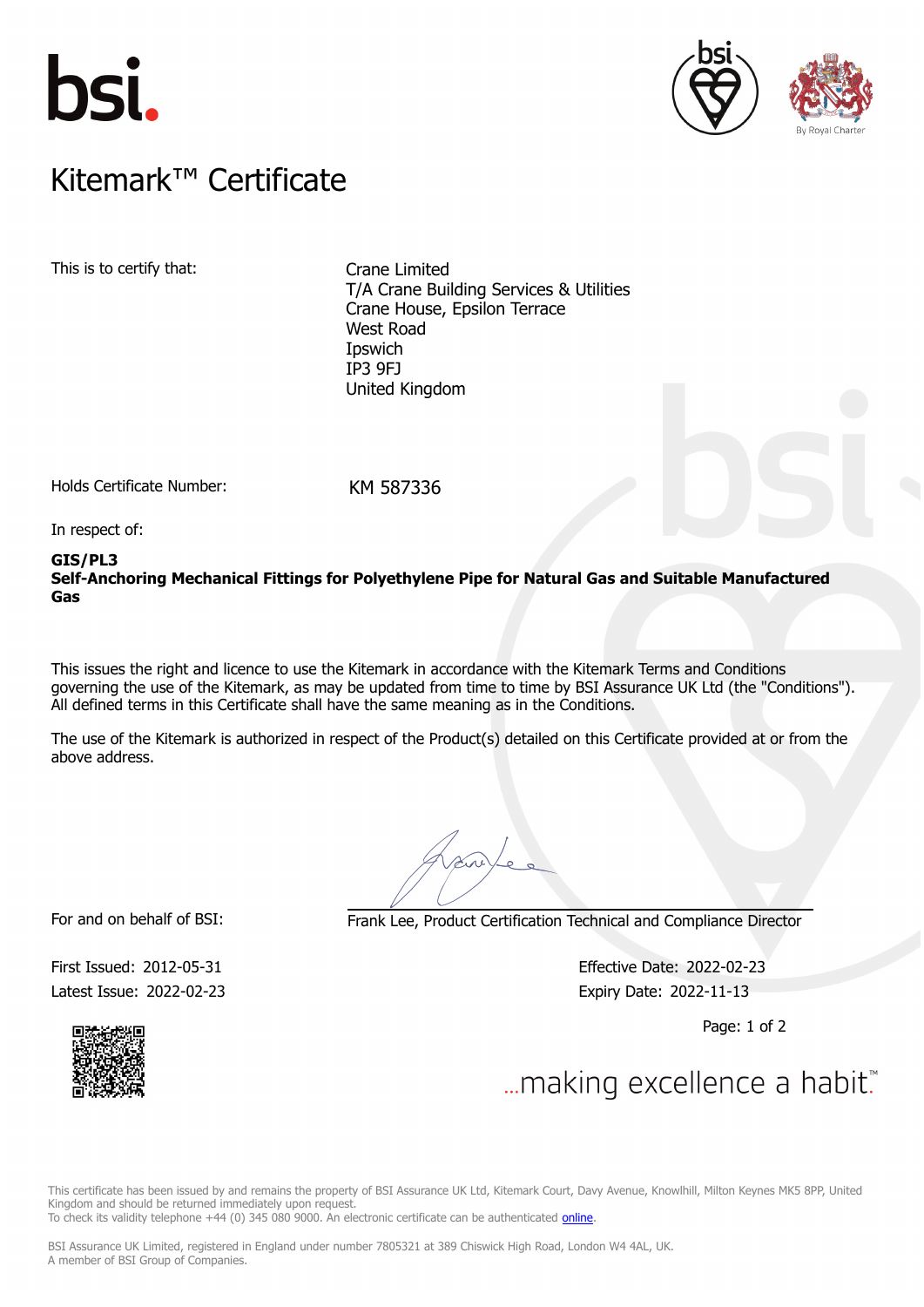





## $K$ itemark $W$  Certificate Kitemark™ Certificate

This is to certify that: Crane Limited

T/A Crane Building Services & Utilities Crane House, Epsilon Terrace West Road Ipswich IP3 9FJ United Kingdom

Holds Certificate Number: KM 587336

In respect of:

### **GIS/PL3**

**Self-Anchoring Mechanical Fittings for Polyethylene Pipe for Natural Gas and Suitable Manufactured Gas**

This issues the right and licence to use the Kitemark in accordance with the Kitemark Terms and Conditions governing the use of the Kitemark, as may be updated from time to time by BSI Assurance UK Ltd (the "Conditions"). All defined terms in this Certificate shall have the same meaning as in the Conditions.

The use of the Kitemark is authorized in respect of the Product(s) detailed on this Certificate provided at or from the above address.

For and on behalf of BSI: Frank Lee, Product Certification Technical and Compliance Director

Latest Issue: 2022-02-23 Expiry Date: 2022-11-13

First Issued: 2012-05-31 Effective Date: 2022-02-23

Page: 1 of 2



... making excellence a habit.

This certificate has been issued by and remains the property of BSI Assurance UK Ltd, Kitemark Court, Davy Avenue, Knowlhill, Milton Keynes MK5 8PP, United Kingdom and should be returned immediately upon request.

To check its validity telephone +44 (0) 345 080 9000. An electronic certificate can be authenticated *[online](https://pgplus.bsigroup.com/CertificateValidation/CertificateValidator.aspx?CertificateNumber=KM+587336&ReIssueDate=23%2f02%2f2022&Template=uk)*.

BSI Assurance UK Limited, registered in England under number 7805321 at 389 Chiswick High Road, London W4 4AL, UK. A member of BSI Group of Companies.